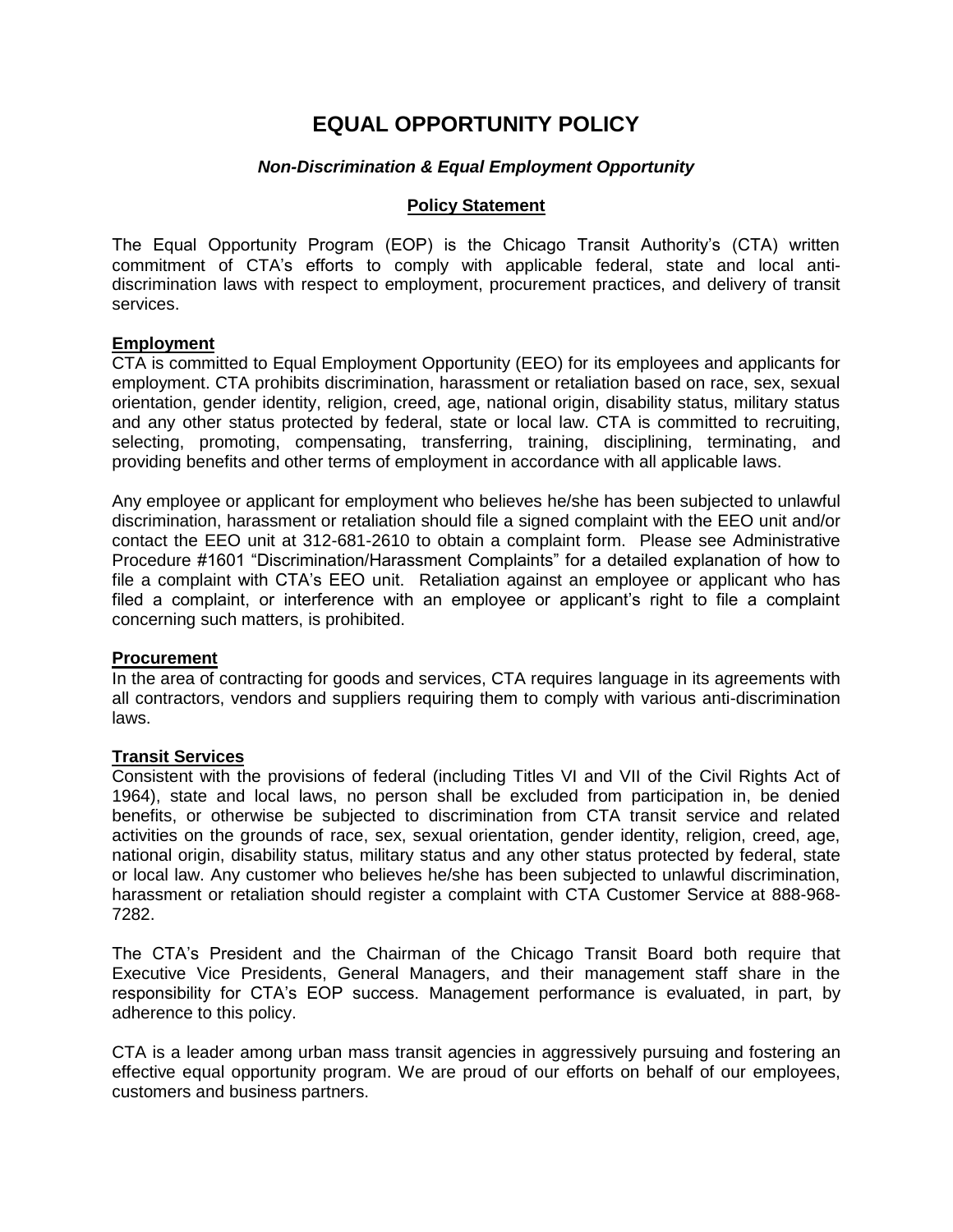# **EQUAL OPPORTUNITY POLICY**

## *Non-Discrimination & Equal Employment Opportunity*

#### **Policy Statement**

The Equal Opportunity Program (EOP) is the Chicago Transit Authority's (CTA) written commitment of CTA's efforts to comply with applicable federal, state and local antidiscrimination laws with respect to employment, procurement practices, and delivery of transit services.

### **Employment**

CTA is committed to Equal Employment Opportunity (EEO) for its employees and applicants for employment. CTA prohibits discrimination, harassment or retaliation based on race, sex, sexual orientation, gender identity, religion, creed, age, national origin, disability status, military status and any other status protected by federal, state or local law. CTA is committed to recruiting, selecting, promoting, compensating, transferring, training, disciplining, terminating, and providing benefits and other terms of employment in accordance with all applicable laws.

Any employee or applicant for employment who believes he/she has been subjected to unlawful discrimination, harassment or retaliation should file a signed complaint with the EEO unit and/or contact the EEO unit at 312-681-2610 to obtain a complaint form. Please see Administrative Procedure #1601 "Discrimination/Harassment Complaints" for a detailed explanation of how to file a complaint with CTA's EEO unit. Retaliation against an employee or applicant who has filed a complaint, or interference with an employee or applicant's right to file a complaint concerning such matters, is prohibited.

### **Procurement**

In the area of contracting for goods and services, CTA requires language in its agreements with all contractors, vendors and suppliers requiring them to comply with various anti-discrimination laws.

### **Transit Services**

Consistent with the provisions of federal (including Titles VI and VII of the Civil Rights Act of 1964), state and local laws, no person shall be excluded from participation in, be denied benefits, or otherwise be subjected to discrimination from CTA transit service and related activities on the grounds of race, sex, sexual orientation, gender identity, religion, creed, age, national origin, disability status, military status and any other status protected by federal, state or local law. Any customer who believes he/she has been subjected to unlawful discrimination, harassment or retaliation should register a complaint with CTA Customer Service at 888-968- 7282.

The CTA's President and the Chairman of the Chicago Transit Board both require that Executive Vice Presidents, General Managers, and their management staff share in the responsibility for CTA's EOP success. Management performance is evaluated, in part, by adherence to this policy.

CTA is a leader among urban mass transit agencies in aggressively pursuing and fostering an effective equal opportunity program. We are proud of our efforts on behalf of our employees, customers and business partners.